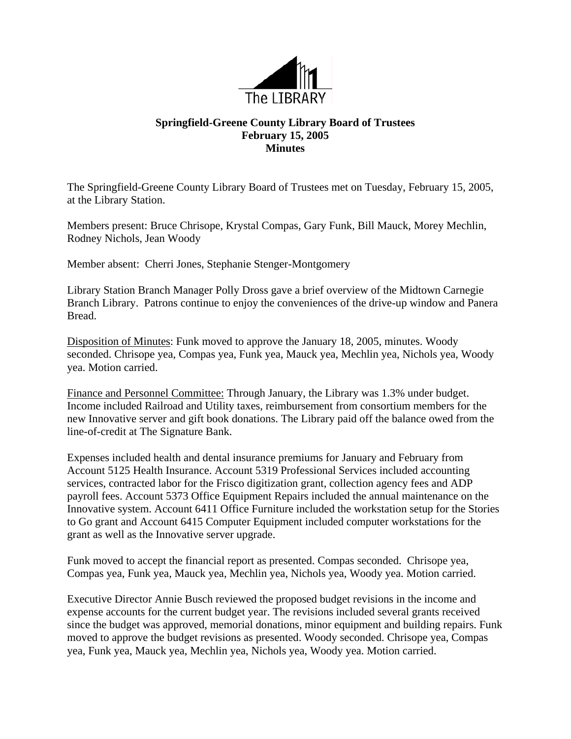

## **Springfield-Greene County Library Board of Trustees February 15, 2005 Minutes**

The Springfield-Greene County Library Board of Trustees met on Tuesday, February 15, 2005, at the Library Station.

Members present: Bruce Chrisope, Krystal Compas, Gary Funk, Bill Mauck, Morey Mechlin, Rodney Nichols, Jean Woody

Member absent: Cherri Jones, Stephanie Stenger-Montgomery

Library Station Branch Manager Polly Dross gave a brief overview of the Midtown Carnegie Branch Library. Patrons continue to enjoy the conveniences of the drive-up window and Panera Bread.

Disposition of Minutes: Funk moved to approve the January 18, 2005, minutes. Woody seconded. Chrisope yea, Compas yea, Funk yea, Mauck yea, Mechlin yea, Nichols yea, Woody yea. Motion carried.

Finance and Personnel Committee: Through January, the Library was 1.3% under budget. Income included Railroad and Utility taxes, reimbursement from consortium members for the new Innovative server and gift book donations. The Library paid off the balance owed from the line-of-credit at The Signature Bank.

Expenses included health and dental insurance premiums for January and February from Account 5125 Health Insurance. Account 5319 Professional Services included accounting services, contracted labor for the Frisco digitization grant, collection agency fees and ADP payroll fees. Account 5373 Office Equipment Repairs included the annual maintenance on the Innovative system. Account 6411 Office Furniture included the workstation setup for the Stories to Go grant and Account 6415 Computer Equipment included computer workstations for the grant as well as the Innovative server upgrade.

Funk moved to accept the financial report as presented. Compas seconded. Chrisope yea, Compas yea, Funk yea, Mauck yea, Mechlin yea, Nichols yea, Woody yea. Motion carried.

Executive Director Annie Busch reviewed the proposed budget revisions in the income and expense accounts for the current budget year. The revisions included several grants received since the budget was approved, memorial donations, minor equipment and building repairs. Funk moved to approve the budget revisions as presented. Woody seconded. Chrisope yea, Compas yea, Funk yea, Mauck yea, Mechlin yea, Nichols yea, Woody yea. Motion carried.